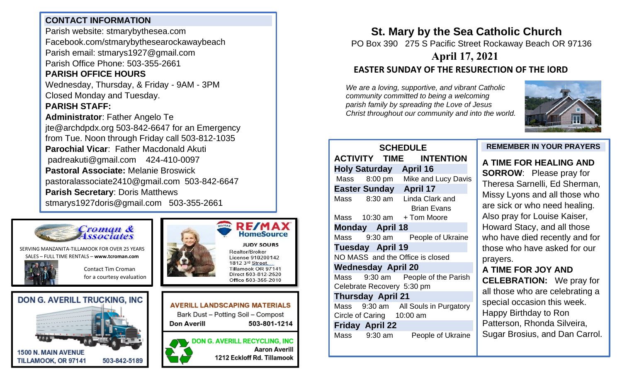# **CONTACT INFORMATION**

Parish website: stmarybythesea.com Facebook.com/stmarybythesearockawaybeach Parish email: stmarys1927@gmail.com Parish Office Phone: 503-355-2661

# **PARISH OFFICE HOURS**

Wednesday, Thursday, & Friday - 9AM - 3PM Closed Monday and Tuesday.

# **PARISH STAFF:**

**Administrator**: Father Angelo Te jte@archdpdx.org 503-842-6647 for an Emergency from Tue. Noon through Friday call 503-812-1035 **Parochial Vicar**: Father Macdonald Akuti padreakuti@gmail.com 424-410-0097 **Pastoral Associate:** Melanie Broswick pastoralassociate2410@gmail.com 503-842-6647 **Parish Secretary**: Doris Matthews stmarys1927doris@gmail.com 503-355-2661



SERVING MANZANITA-TILLAMOOK FOR OVER 25 YEARS SALES – FULL TIME RENTALS – **[www.tcroman.com](http://www.tcroman.com/)**

> Contact Tim Croman for a courtesy evaluation

**503-812-2483**







#### **HomeSource JUDY SOURS** Realtor/Broker License 910200142 1812 3rd Street. Tillamook OR 97141 Direct 503-812-2520 Office 503-355-2010

**AVERILL LANDSCAPING MATERIALS** Bark Dust - Potting Soil - Compost Don Averill 503-801-1214

> **DON G. AVERILL RECYCLING, INC Aaron Averill** 1212 Eckloff Rd. Tillamook

# **St. Mary by the Sea Catholic Church** PO Box 390 275 S Pacific Street Rockaway Beach OR 97136 **April 17, 2021 EASTER SUNDAY OF THE RESURECTION OF THE lORD**

*We are a loving, supportive, and vibrant Catholic community committed to being a welcoming parish family by spreading the Love of Jesus Christ throughout our community and into the world.*



## **SCHEDULE ACTIVITY TIME INTENTION Holy Saturday April 16**  Mass 8:00 pm Mike and Lucy Davis **Easter Sunday April 17**  Mass 8:30 am Linda Clark and Brian Evans Mass  $10:30$  am  $+$  Tom Moore **Monday April 18**  Mass 9:30 am People of Ukraine **Tuesday April 19**  NO MASS and the Office is closed **Wednesday April 20**  Mass 9:30 am People of the Parish Celebrate Recovery 5:30 pm **Thursday April 21** Mass 9:30 am All Souls in Purgatory Circle of Caring 10:00 am **Friday April 22** Mass 9:30 am People of Ukraine

### **REMEMBER IN YOUR PRAYERS**

**A TIME FOR HEALING AND SORROW**: Please pray for Theresa Sarnelli, Ed Sherman, Missy Lyons and all those who are sick or who need healing. Also pray for Louise Kaiser, Howard Stacy, and all those who have died recently and for those who have asked for our prayers.

# **A TIME FOR JOY AND CELEBRATION:** We pray for all those who are celebrating a special occasion this week. Happy Birthday to Ron Patterson, Rhonda Silveira, Sugar Brosius, and Dan Carrol.